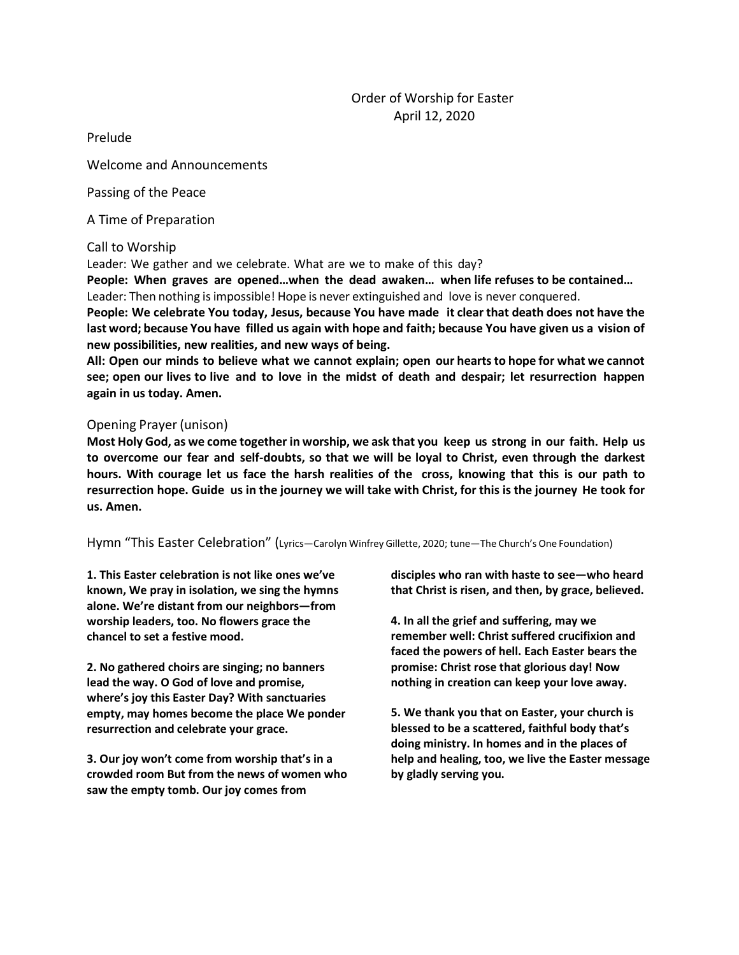Prelude

Welcome and Announcements

Passing of the Peace

A Time of Preparation

## Call to Worship

Leader: We gather and we celebrate. What are we to make of this day?

**People: When graves are opened…when the dead awaken… when life refuses to be contained…** Leader: Then nothing is impossible! Hope is never extinguished and love is never conquered.

**People: We celebrate You today, Jesus, because You have made it clear that death does not have the** last word; because You have filled us again with hope and faith; because You have given us a vision of **new possibilities, new realities, and new ways of being.**

**All: Open our minds to believe what we cannot explain; open our heartsto hope for what we cannot** see; open our lives to live and to love in the midst of death and despair; let resurrection happen **again in us today. Amen.**

## Opening Prayer (unison)

Most Holy God, as we come together in worship, we ask that you keep us strong in our faith. Help us **to overcome our fear and self-doubts, so that we will be loyal to Christ, even through the darkest hours. With courage let us face the harsh realities of the cross, knowing that this is our path to**  resurrection hope. Guide us in the journey we will take with Christ, for this is the journey He took for **us. Amen.**

Hymn "This Easter Celebration" (Lyrics—Carolyn Winfrey Gillette, 2020; tune—The Church's One Foundation)

**1. This Easter celebration is not like ones we've known, We pray in isolation, we sing the hymns alone. We're distant from our neighbors—from worship leaders, too. No flowers grace the chancel to set a festive mood.**

**2. No gathered choirs are singing; no banners lead the way. O God of love and promise, where's joy this Easter Day? With sanctuaries empty, may homes become the place We ponder resurrection and celebrate your grace.**

**3. Our joy won't come from worship that's in a crowded room But from the news of women who saw the empty tomb. Our joy comes from**

**disciples who ran with haste to see—who heard that Christ is risen, and then, by grace, believed.**

**4. In all the grief and suffering, may we remember well: Christ suffered crucifixion and faced the powers of hell. Each Easter bears the promise: Christ rose that glorious day! Now nothing in creation can keep your love away.**

**5. We thank you that on Easter, your church is blessed to be a scattered, faithful body that's doing ministry. In homes and in the places of help and healing, too, we live the Easter message by gladly serving you.**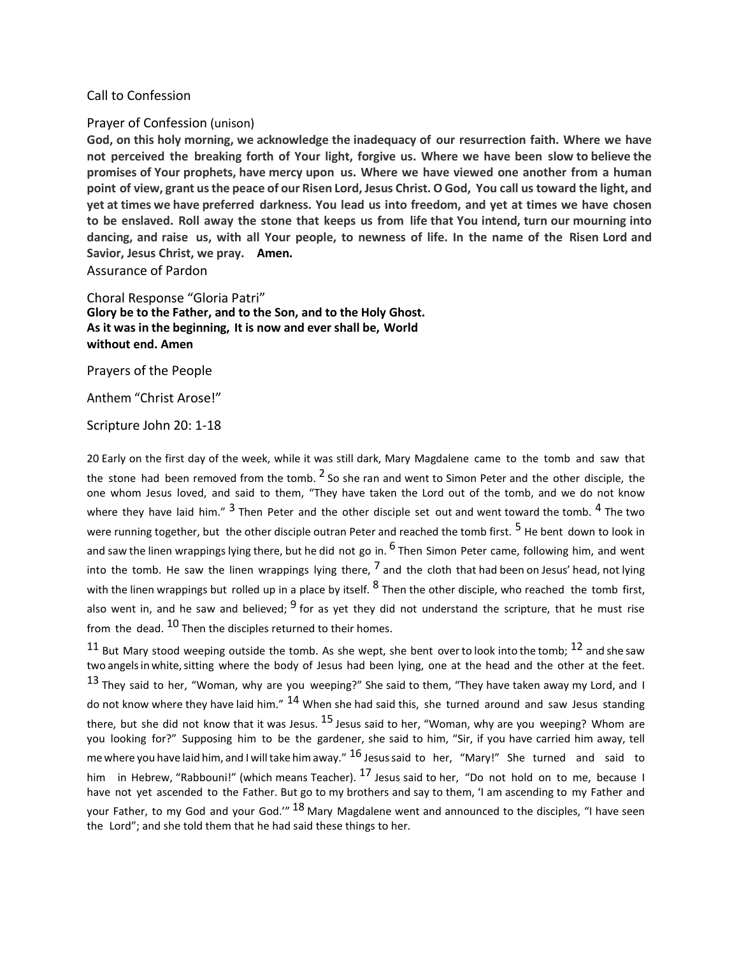#### Call to Confession

#### Prayer of Confession (unison)

**God, on this holy morning, we acknowledge the inadequacy of our resurrection faith. Where we have not perceived the breaking forth of Your light, forgive us. Where we have been slow to believe the promises of Your prophets, have mercy upon us. Where we have viewed one another from a human** point of view, grant us the peace of our Risen Lord, Jesus Christ. O God, You call us toward the light, and **yet at times we have preferred darkness. You lead us into freedom, and yet at times we have chosen** to be enslaved. Roll away the stone that keeps us from life that You intend, turn our mourning into dancing, and raise us, with all Your people, to newness of life. In the name of the Risen Lord and **Savior, Jesus Christ, we pray. Amen.**

Assurance of Pardon

Choral Response "Gloria Patri" **Glory be to the Father, and to the Son, and to the Holy Ghost. As it was in the beginning, It is now and ever shall be, World without end. Amen**

Prayers of the People

Anthem "Christ Arose!"

Scripture John 20: 1-18

20 Early on the first day of the week, while it was still dark, Mary Magdalene came to the tomb and saw that the stone had been removed from the tomb.  $^2$  So she ran and went to Simon Peter and the other disciple, the one whom Jesus loved, and said to them, "They have taken the Lord out of the tomb, and we do not know where they have laid him."  $^3$  Then Peter and the other disciple set out and went toward the tomb.  $^4$  The two were running together, but the other disciple outran Peter and reached the tomb first. <sup>5</sup> He bent down to look in and saw the linen wrappings lying there, but he did not go in. <sup>6</sup> Then Simon Peter came, following him, and went into the tomb. He saw the linen wrappings lying there,  $^7$  and the cloth that had been on Jesus' head, not lying with the linen wrappings but rolled up in a place by itself. <sup>8</sup> Then the other disciple, who reached the tomb first, also went in, and he saw and believed; <sup>9</sup> for as yet they did not understand the scripture, that he must rise from the dead. <sup>10</sup> Then the disciples returned to their homes.

<sup>11</sup> But Mary stood weeping outside the tomb. As she wept, she bent over to look into the tomb; <sup>12</sup> and she saw two angelsin white,sitting where the body of Jesus had been lying, one at the head and the other at the feet. 13 They said to her, "Woman, why are you weeping?" She said to them, "They have taken away my Lord, and I do not know where they have laid him."  $^{14}$  When she had said this, she turned around and saw Jesus standing there, but she did not know that it was Jesus.  $^{15}$  Jesus said to her, "Woman, why are you weeping? Whom are you looking for?" Supposing him to be the gardener, she said to him, "Sir, if you have carried him away, tell me where you have laid him, and I will take him away."  $^{16}$  Jesus said to her, "Mary!" She turned and said to him in Hebrew, "Rabbouni!" (which means Teacher).  $^{17}$  Jesus said to her, "Do not hold on to me, because I have not yet ascended to the Father. But go to my brothers and say to them, 'I am ascending to my Father and your Father, to my God and your God." <sup>18</sup> Mary Magdalene went and announced to the disciples, "I have seen the Lord"; and she told them that he had said these things to her.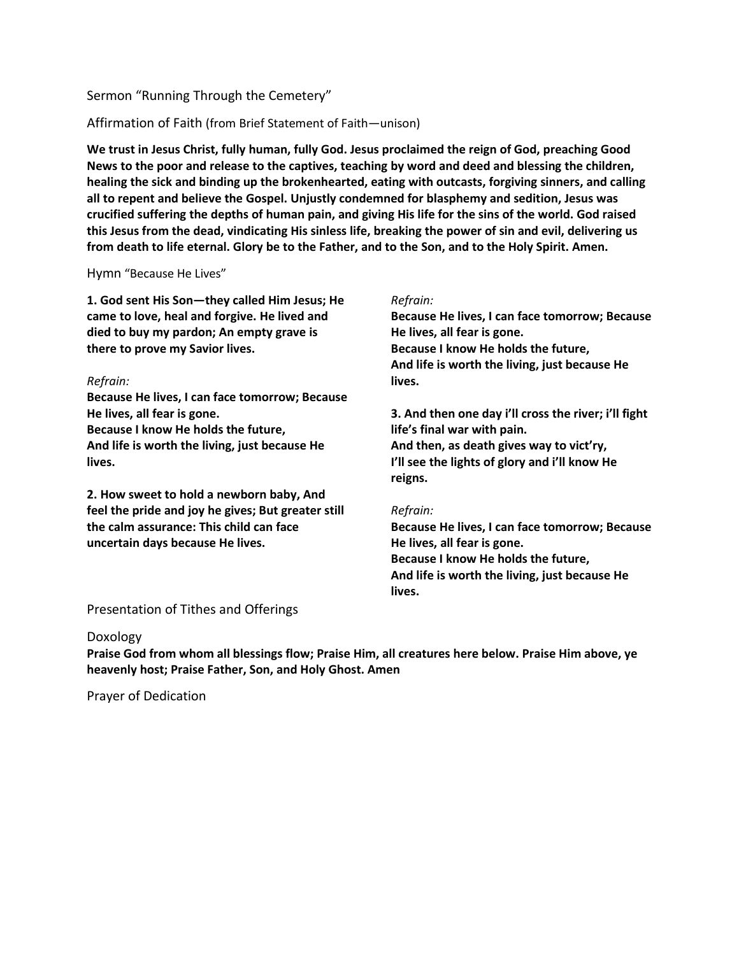# Sermon "Running Through the Cemetery"

# Affirmation of Faith (from Brief Statement of Faith—unison)

**We trust in Jesus Christ, fully human, fully God. Jesus proclaimed the reign of God, preaching Good News to the poor and release to the captives, teaching by word and deed and blessing the children, healing the sick and binding up the brokenhearted, eating with outcasts, forgiving sinners, and calling all to repent and believe the Gospel. Unjustly condemned for blasphemy and sedition, Jesus was** crucified suffering the depths of human pain, and giving His life for the sins of the world. God raised this Jesus from the dead, vindicating His sinless life, breaking the power of sin and evil, delivering us **from death to life eternal. Glory be to the Father, and to the Son, and to the Holy Spirit. Amen.**

## Hymn "Because He Lives"

**1. God sent His Son—they called Him Jesus; He came to love, heal and forgive. He lived and died to buy my pardon; An empty grave is there to prove my Savior lives.**

## *Refrain:*

**Because He lives, I can face tomorrow; Because He lives, all fear is gone. Because I know He holds the future, And life is worth the living, just because He lives.**

**2. How sweet to hold a newborn baby, And feel the pride and joy he gives; But greater still the calm assurance: This child can face uncertain days because He lives.**

## *Refrain:*

**Because He lives, I can face tomorrow; Because He lives, all fear is gone. Because I know He holds the future, And life is worth the living, just because He lives.**

**3. And then one day i'll cross the river; i'll fight life's final war with pain. And then, as death gives way to vict'ry, I'll see the lights of glory and i'll know He reigns.**

## *Refrain:*

**Because He lives, I can face tomorrow; Because He lives, all fear is gone. Because I know He holds the future, And life is worth the living, just because He lives.**

# Presentation of Tithes and Offerings

## Doxology

**Praise God from whom all blessings flow; Praise Him, all creatures here below. Praise Him above, ye heavenly host; Praise Father, Son, and Holy Ghost. Amen**

Prayer of Dedication